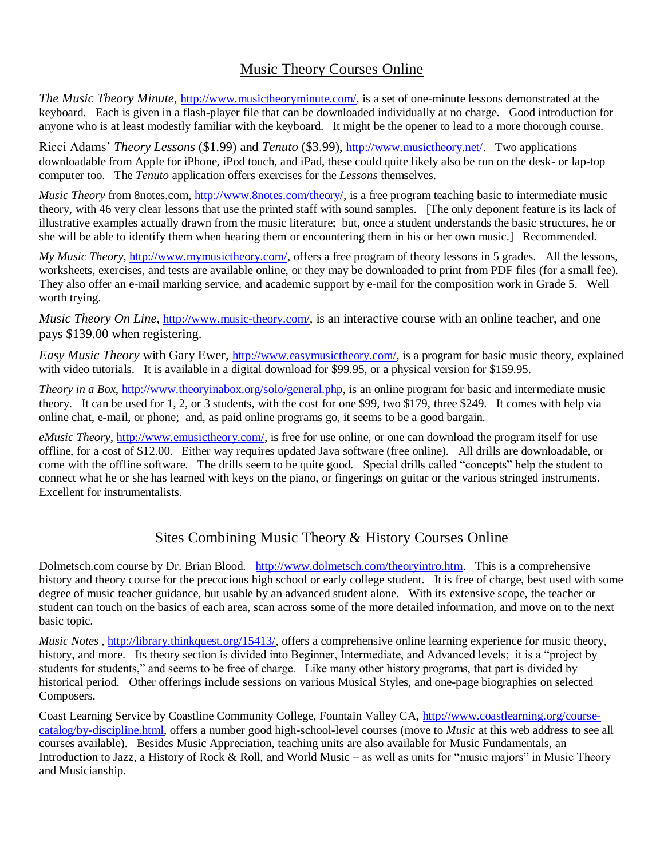## Music Theory Courses Online

*The Music Theory Minute*, [http://www.musictheoryminute.com/,](http://www.musictheoryminute.com/) is a set of one-minute lessons demonstrated at the keyboard. Each is given in a flash-player file that can be downloaded individually at no charge. Good introduction for anyone who is at least modestly familiar with the keyboard. It might be the opener to lead to a more thorough course.

Ricci Adams' *Theory Lessons* (\$1.99) and *Tenuto* (\$3.99), [http://www.musictheory.net/.](http://www.musictheory.net/) Two applications downloadable from Apple for iPhone, iPod touch, and iPad, these could quite likely also be run on the desk- or lap-top computer too. The *Tenuto* application offers exercises for the *Lessons* themselves.

*Music Theory* from 8notes.com, [http://www.8notes.com/theory/,](http://www.8notes.com/theory/) is a free program teaching basic to intermediate music theory, with 46 very clear lessons that use the printed staff with sound samples. [The only deponent feature is its lack of illustrative examples actually drawn from the music literature; but, once a student understands the basic structures, he or she will be able to identify them when hearing them or encountering them in his or her own music.] Recommended.

*My Music Theory*, [http://www.mymusictheory.com/,](http://www.mymusictheory.com/) offers a free program of theory lessons in 5 grades. All the lessons, worksheets, exercises, and tests are available online, or they may be downloaded to print from PDF files (for a small fee). They also offer an e-mail marking service, and academic support by e-mail for the composition work in Grade 5. Well worth trying.

*Music Theory On Line*, [http://www.music-theory.com/,](http://www.music-theory.com/) is an interactive course with an online teacher, and one pays \$139.00 when registering.

*Easy Music Theory* with Gary Ewer, [http://www.easymusictheory.com/,](http://www.easymusictheory.com/) is a program for basic music theory, explained with video tutorials. It is available in a digital download for \$99.95, or a physical version for \$159.95.

*Theory in a Box*, [http://www.theoryinabox.org/solo/general.php,](http://www.theoryinabox.org/solo/general.php) is an online program for basic and intermediate music theory. It can be used for 1, 2, or 3 students, with the cost for one \$99, two \$179, three \$249. It comes with help via online chat, e-mail, or phone; and, as paid online programs go, it seems to be a good bargain.

*eMusic Theory*, [http://www.emusictheory.com/,](http://www.emusictheory.com/) is free for use online, or one can download the program itself for use offline, for a cost of \$12.00. Either way requires updated Java software (free online). All drills are downloadable, or come with the offline software. The drills seem to be quite good. Special drills called "concepts" help the student to connect what he or she has learned with keys on the piano, or fingerings on guitar or the various stringed instruments. Excellent for instrumentalists.

## Sites Combining Music Theory & History Courses Online

Dolmetsch.com course by Dr. Brian Blood. [http://www.dolmetsch.com/theoryintro.htm.](http://www.dolmetsch.com/theoryintro.htm) This is a comprehensive history and theory course for the precocious high school or early college student. It is free of charge, best used with some degree of music teacher guidance, but usable by an advanced student alone. With its extensive scope, the teacher or student can touch on the basics of each area, scan across some of the more detailed information, and move on to the next basic topic.

*Music Notes*, [http://library.thinkquest.org/15413/,](http://library.thinkquest.org/15413/) offers a comprehensive online learning experience for music theory, history, and more. Its theory section is divided into Beginner, Intermediate, and Advanced levels; it is a "project by students for students," and seems to be free of charge. Like many other history programs, that part is divided by historical period. Other offerings include sessions on various Musical Styles, and one-page biographies on selected Composers.

Coast Learning Service by Coastline Community College, Fountain Valley CA, [http://www.coastlearning.org/course](http://www.coastlearning.org/course-catalog/by-discipline.html)[catalog/by-discipline.html,](http://www.coastlearning.org/course-catalog/by-discipline.html) offers a number good high-school-level courses (move to *Music* at this web address to see all courses available). Besides Music Appreciation, teaching units are also available for Music Fundamentals, an Introduction to Jazz, a History of Rock & Roll, and World Music – as well as units for "music majors" in Music Theory and Musicianship.